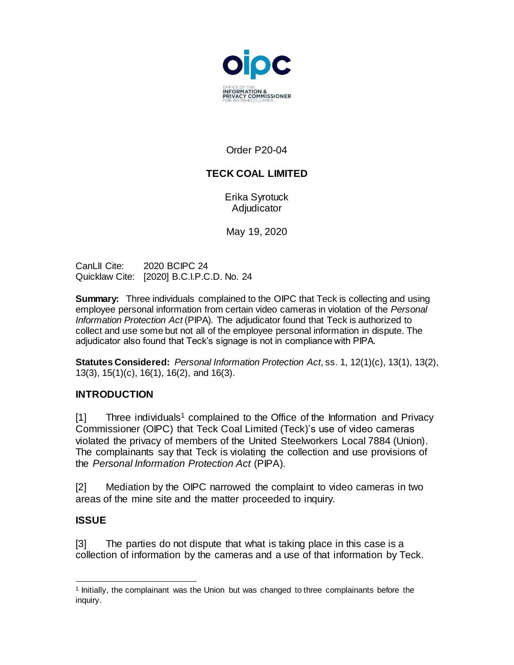

## Order P20-04

# **TECK COAL LIMITED**

Erika Syrotuck **Adjudicator** 

May 19, 2020

CanLII Cite: 2020 BCIPC 24 Quicklaw Cite: [2020] B.C.I.P.C.D. No. 24

**Summary:** Three individuals complained to the OIPC that Teck is collecting and using employee personal information from certain video cameras in violation of the *Personal Information Protection Act* (PIPA)*.* The adjudicator found that Teck is authorized to collect and use some but not all of the employee personal information in dispute. The adjudicator also found that Teck's signage is not in compliance with PIPA.

**Statutes Considered:** *Personal Information Protection Act*, ss. 1, 12(1)(c), 13(1), 13(2), 13(3), 15(1)(c), 16(1), 16(2), and 16(3).

## **INTRODUCTION**

 $[1]$  Three individuals<sup>1</sup> complained to the Office of the Information and Privacy Commissioner (OIPC) that Teck Coal Limited (Teck)'s use of video cameras violated the privacy of members of the United Steelworkers Local 7884 (Union). The complainants say that Teck is violating the collection and use provisions of the *Personal Information Protection Act* (PIPA).

[2] Mediation by the OIPC narrowed the complaint to video cameras in two areas of the mine site and the matter proceeded to inquiry.

## **ISSUE**

[3] The parties do not dispute that what is taking place in this case is a collection of information by the cameras and a use of that information by Teck.

 1 Initially, the complainant was the Union but was changed to three complainants before the inquiry.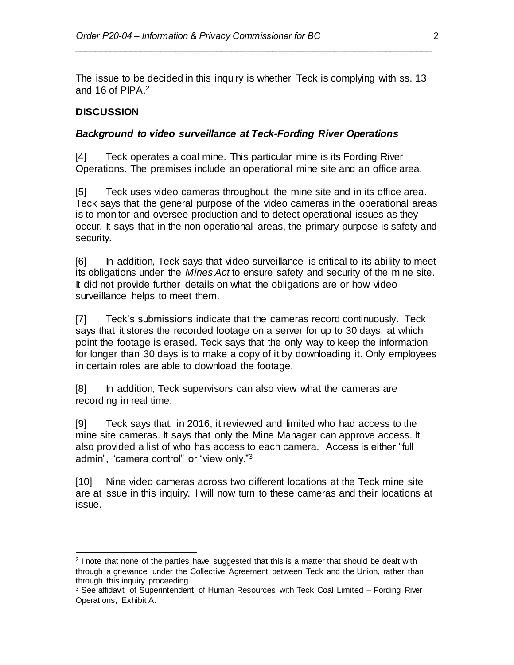The issue to be decided in this inquiry is whether Teck is complying with ss. 13 and 16 of PIPA.<sup>2</sup>

*\_\_\_\_\_\_\_\_\_\_\_\_\_\_\_\_\_\_\_\_\_\_\_\_\_\_\_\_\_\_\_\_\_\_\_\_\_\_\_\_\_\_\_\_\_\_\_\_\_\_\_\_\_\_\_\_\_\_\_\_\_\_\_\_\_\_\_\_\_\_*

#### **DISCUSSION**

#### *Background to video surveillance at Teck-Fording River Operations*

[4] Teck operates a coal mine. This particular mine is its Fording River Operations. The premises include an operational mine site and an office area.

[5] Teck uses video cameras throughout the mine site and in its office area. Teck says that the general purpose of the video cameras in the operational areas is to monitor and oversee production and to detect operational issues as they occur. It says that in the non-operational areas, the primary purpose is safety and security.

[6] In addition, Teck says that video surveillance is critical to its ability to meet its obligations under the *Mines Act* to ensure safety and security of the mine site. It did not provide further details on what the obligations are or how video surveillance helps to meet them.

[7] Teck's submissions indicate that the cameras record continuously. Teck says that it stores the recorded footage on a server for up to 30 days, at which point the footage is erased. Teck says that the only way to keep the information for longer than 30 days is to make a copy of it by downloading it. Only employees in certain roles are able to download the footage.

[8] In addition, Teck supervisors can also view what the cameras are recording in real time.

[9] Teck says that, in 2016, it reviewed and limited who had access to the mine site cameras. It says that only the Mine Manager can approve access. It also provided a list of who has access to each camera. Access is either "full admin", "camera control" or "view only."<sup>3</sup>

[10] Nine video cameras across two different locations at the Teck mine site are at issue in this inquiry. I will now turn to these cameras and their locations at issue.

<sup>&</sup>lt;sup>2</sup> I note that none of the parties have suggested that this is a matter that should be dealt with through a grievance under the Collective Agreement between Teck and the Union, rather than through this inquiry proceeding.

 $3$  See affidavit of Superintendent of Human Resources with Teck Coal Limited  $-$  Fording River Operations, Exhibit A.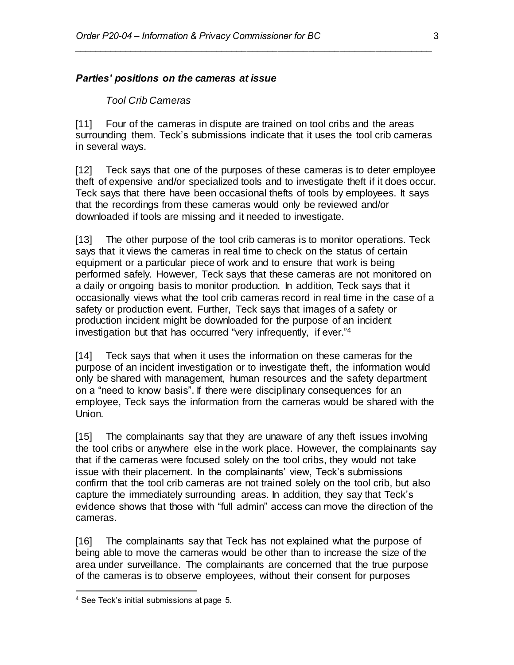#### *Parties' positions on the cameras at issue*

#### *Tool Crib Cameras*

[11] Four of the cameras in dispute are trained on tool cribs and the areas surrounding them. Teck's submissions indicate that it uses the tool crib cameras in several ways.

*\_\_\_\_\_\_\_\_\_\_\_\_\_\_\_\_\_\_\_\_\_\_\_\_\_\_\_\_\_\_\_\_\_\_\_\_\_\_\_\_\_\_\_\_\_\_\_\_\_\_\_\_\_\_\_\_\_\_\_\_\_\_\_\_\_\_\_\_\_\_*

[12] Teck says that one of the purposes of these cameras is to deter employee theft of expensive and/or specialized tools and to investigate theft if it does occur. Teck says that there have been occasional thefts of tools by employees. It says that the recordings from these cameras would only be reviewed and/or downloaded if tools are missing and it needed to investigate.

[13] The other purpose of the tool crib cameras is to monitor operations. Teck says that it views the cameras in real time to check on the status of certain equipment or a particular piece of work and to ensure that work is being performed safely. However, Teck says that these cameras are not monitored on a daily or ongoing basis to monitor production. In addition, Teck says that it occasionally views what the tool crib cameras record in real time in the case of a safety or production event. Further, Teck says that images of a safety or production incident might be downloaded for the purpose of an incident investigation but that has occurred "very infrequently, if ever."<sup>4</sup>

[14] Teck says that when it uses the information on these cameras for the purpose of an incident investigation or to investigate theft, the information would only be shared with management, human resources and the safety department on a "need to know basis". If there were disciplinary consequences for an employee, Teck says the information from the cameras would be shared with the Union.

[15] The complainants say that they are unaware of any theft issues involving the tool cribs or anywhere else in the work place. However, the complainants say that if the cameras were focused solely on the tool cribs, they would not take issue with their placement. In the complainants' view, Teck's submissions confirm that the tool crib cameras are not trained solely on the tool crib, but also capture the immediately surrounding areas. In addition, they say that Teck's evidence shows that those with "full admin" access can move the direction of the cameras.

[16] The complainants say that Teck has not explained what the purpose of being able to move the cameras would be other than to increase the size of the area under surveillance. The complainants are concerned that the true purpose of the cameras is to observe employees, without their consent for purposes

<sup>4</sup> See Teck's initial submissions at page 5.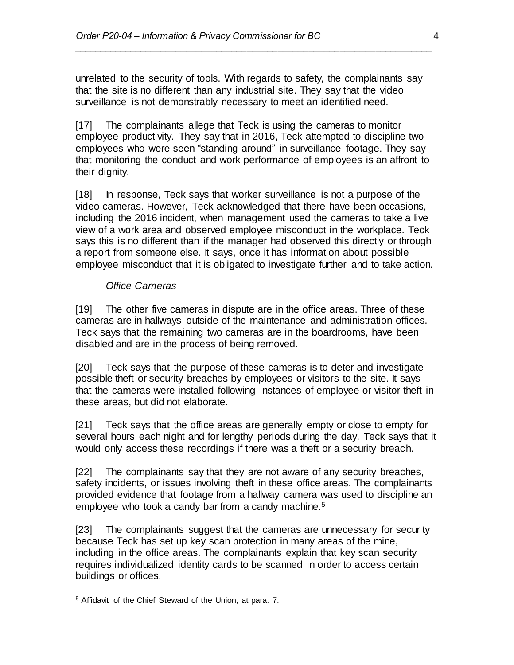unrelated to the security of tools. With regards to safety, the complainants say that the site is no different than any industrial site. They say that the video surveillance is not demonstrably necessary to meet an identified need.

*\_\_\_\_\_\_\_\_\_\_\_\_\_\_\_\_\_\_\_\_\_\_\_\_\_\_\_\_\_\_\_\_\_\_\_\_\_\_\_\_\_\_\_\_\_\_\_\_\_\_\_\_\_\_\_\_\_\_\_\_\_\_\_\_\_\_\_\_\_\_*

[17] The complainants allege that Teck is using the cameras to monitor employee productivity. They say that in 2016, Teck attempted to discipline two employees who were seen "standing around" in surveillance footage. They say that monitoring the conduct and work performance of employees is an affront to their dianity.

[18] In response, Teck says that worker surveillance is not a purpose of the video cameras. However, Teck acknowledged that there have been occasions, including the 2016 incident, when management used the cameras to take a live view of a work area and observed employee misconduct in the workplace. Teck says this is no different than if the manager had observed this directly or through a report from someone else. It says, once it has information about possible employee misconduct that it is obligated to investigate further and to take action.

#### *Office Cameras*

[19] The other five cameras in dispute are in the office areas. Three of these cameras are in hallways outside of the maintenance and administration offices. Teck says that the remaining two cameras are in the boardrooms, have been disabled and are in the process of being removed.

[20] Teck says that the purpose of these cameras is to deter and investigate possible theft or security breaches by employees or visitors to the site. It says that the cameras were installed following instances of employee or visitor theft in these areas, but did not elaborate.

[21] Teck says that the office areas are generally empty or close to empty for several hours each night and for lengthy periods during the day. Teck says that it would only access these recordings if there was a theft or a security breach.

[22] The complainants say that they are not aware of any security breaches, safety incidents, or issues involving theft in these office areas. The complainants provided evidence that footage from a hallway camera was used to discipline an employee who took a candy bar from a candy machine.<sup>5</sup>

[23] The complainants suggest that the cameras are unnecessary for security because Teck has set up key scan protection in many areas of the mine, including in the office areas. The complainants explain that key scan security requires individualized identity cards to be scanned in order to access certain buildings or offices.

<sup>5</sup> Affidavit of the Chief Steward of the Union, at para. 7.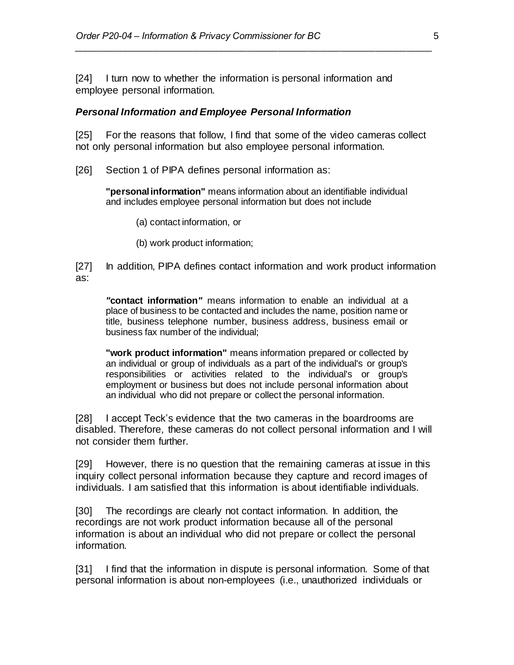[24] I turn now to whether the information is personal information and employee personal information.

#### *Personal Information and Employee Personal Information*

[25] For the reasons that follow, I find that some of the video cameras collect not only personal information but also employee personal information.

*\_\_\_\_\_\_\_\_\_\_\_\_\_\_\_\_\_\_\_\_\_\_\_\_\_\_\_\_\_\_\_\_\_\_\_\_\_\_\_\_\_\_\_\_\_\_\_\_\_\_\_\_\_\_\_\_\_\_\_\_\_\_\_\_\_\_\_\_\_\_*

[26] Section 1 of PIPA defines personal information as:

**"personal information"** means information about an identifiable individual and includes employee personal information but does not include

- (a) contact information, or
- (b) work product information;

[27] In addition, PIPA defines contact information and work product information as:

*"***contact information***"* means information to enable an individual at a place of business to be contacted and includes the name, position name or title, business telephone number, business address, business email or business fax number of the individual;

**"work product information"** means information prepared or collected by an individual or group of individuals as a part of the individual's or group's responsibilities or activities related to the individual's or group's employment or business but does not include personal information about an individual who did not prepare or collect the personal information.

[28] I accept Teck's evidence that the two cameras in the boardrooms are disabled. Therefore, these cameras do not collect personal information and I will not consider them further.

[29] However, there is no question that the remaining cameras at issue in this inquiry collect personal information because they capture and record images of individuals. I am satisfied that this information is about identifiable individuals.

[30] The recordings are clearly not contact information. In addition, the recordings are not work product information because all of the personal information is about an individual who did not prepare or collect the personal information.

[31] I find that the information in dispute is personal information. Some of that personal information is about non-employees (i.e., unauthorized individuals or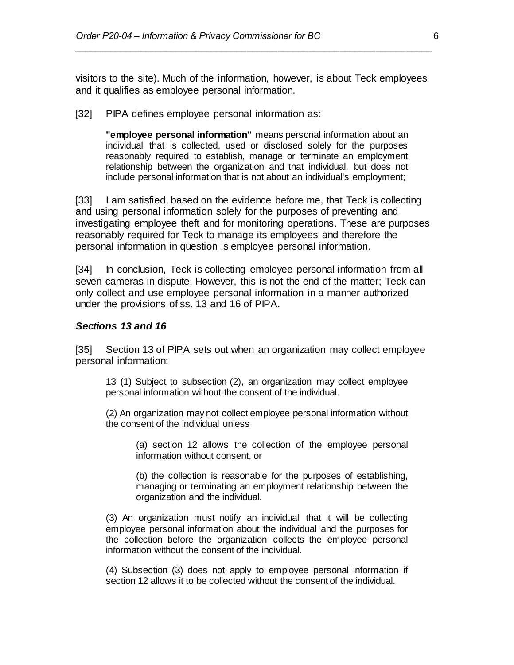visitors to the site). Much of the information, however, is about Teck employees and it qualifies as employee personal information.

*\_\_\_\_\_\_\_\_\_\_\_\_\_\_\_\_\_\_\_\_\_\_\_\_\_\_\_\_\_\_\_\_\_\_\_\_\_\_\_\_\_\_\_\_\_\_\_\_\_\_\_\_\_\_\_\_\_\_\_\_\_\_\_\_\_\_\_\_\_\_*

[32] PIPA defines employee personal information as:

**"employee personal information"** means personal information about an individual that is collected, used or disclosed solely for the purposes reasonably required to establish, manage or terminate an employment relationship between the organization and that individual, but does not include personal information that is not about an individual's employment;

[33] I am satisfied, based on the evidence before me, that Teck is collecting and using personal information solely for the purposes of preventing and investigating employee theft and for monitoring operations. These are purposes reasonably required for Teck to manage its employees and therefore the personal information in question is employee personal information.

[34] In conclusion, Teck is collecting employee personal information from all seven cameras in dispute. However, this is not the end of the matter; Teck can only collect and use employee personal information in a manner authorized under the provisions of ss. 13 and 16 of PIPA.

#### *Sections 13 and 16*

[35] Section 13 of PIPA sets out when an organization may collect employee personal information:

13 (1) Subject to subsection (2), an organization may collect employee personal information without the consent of the individual.

(2) An organization may not collect employee personal information without the consent of the individual unless

(a) [section 12](https://www.canlii.org/en/bc/laws/stat/sbc-2003-c-63/latest/sbc-2003-c-63.html?autocompleteStr=persona&autocompletePos=12#sec12_smooth) allows the collection of the employee personal information without consent, or

(b) the collection is reasonable for the purposes of establishing, managing or terminating an employment relationship between the organization and the individual.

(3) An organization must notify an individual that it will be collecting employee personal information about the individual and the purposes for the collection before the organization collects the employee personal information without the consent of the individual.

(4) Subsection (3) does not apply to employee personal information if [section 12](https://www.canlii.org/en/bc/laws/stat/sbc-2003-c-63/latest/sbc-2003-c-63.html?autocompleteStr=persona&autocompletePos=12#sec12_smooth) allows it to be collected without the consent of the individual.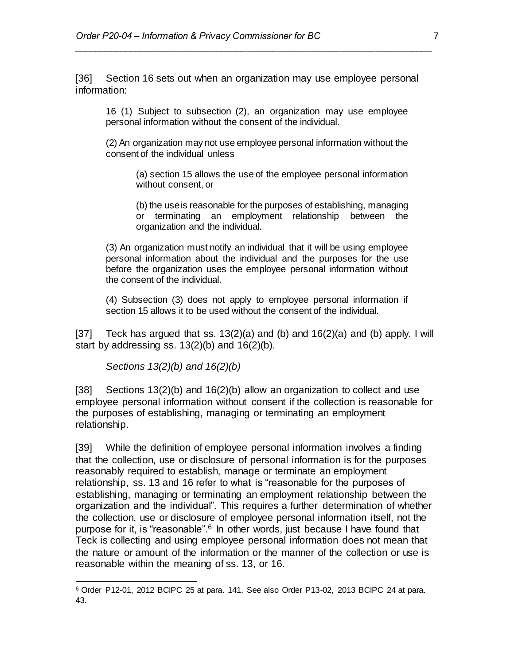[36] Section 16 sets out when an organization may use employee personal information:

*\_\_\_\_\_\_\_\_\_\_\_\_\_\_\_\_\_\_\_\_\_\_\_\_\_\_\_\_\_\_\_\_\_\_\_\_\_\_\_\_\_\_\_\_\_\_\_\_\_\_\_\_\_\_\_\_\_\_\_\_\_\_\_\_\_\_\_\_\_\_*

16 (1) Subject to subsection (2), an organization may use employee personal information without the consent of the individual.

(2) An organization may not use employee personal information without the consent of the individual unless

(a) section 15 allows the use of the employee personal information without consent, or

(b) the use is reasonable for the purposes of establishing, managing or terminating an employment relationship between the organization and the individual.

(3) An organization must notify an individual that it will be using employee personal information about the individual and the purposes for the use before the organization uses the employee personal information without the consent of the individual.

(4) Subsection (3) does not apply to employee personal information if section 15 allows it to be used without the consent of the individual.

[37] Teck has argued that ss. 13(2)(a) and (b) and  $16(2)(a)$  and (b) apply. I will start by addressing ss.  $13(2)(b)$  and  $16(2)(b)$ .

*Sections 13(2)(b) and 16(2)(b)*

[38] Sections 13(2)(b) and 16(2)(b) allow an organization to collect and use employee personal information without consent if the collection is reasonable for the purposes of establishing, managing or terminating an employment relationship.

[39] While the definition of employee personal information involves a finding that the collection, use or disclosure of personal information is for the purposes reasonably required to establish, manage or terminate an employment relationship, ss. 13 and 16 refer to what is "reasonable for the purposes of establishing, managing or terminating an employment relationship between the organization and the individual". This requires a further determination of whether the collection, use or disclosure of employee personal information itself, not the purpose for it, is "reasonable".<sup>6</sup> In other words, just because I have found that Teck is collecting and using employee personal information does not mean that the nature or amount of the information or the manner of the collection or use is reasonable within the meaning of ss. 13, or 16.

<sup>6</sup> Order P12-01, 2012 BCIPC 25 at para. 141. See also Order P13-02, 2013 BCIPC 24 at para. 43.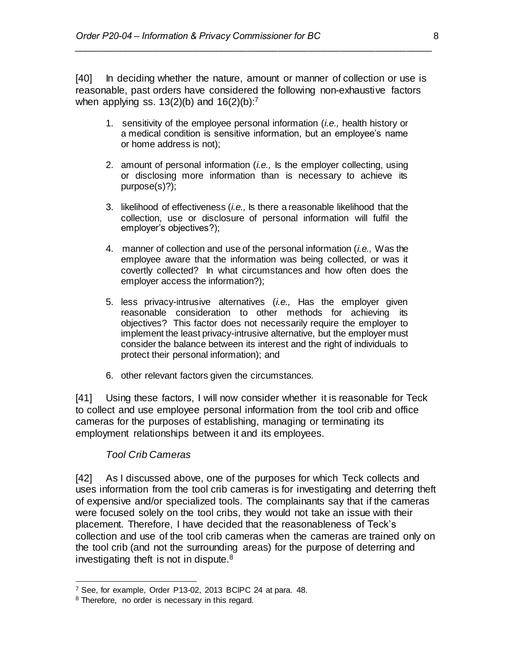[40] In deciding whether the nature, amount or manner of collection or use is reasonable, past orders have considered the following non-exhaustive factors when applying ss.  $13(2)(b)$  and  $16(2)(b)$ :<sup>7</sup>

*\_\_\_\_\_\_\_\_\_\_\_\_\_\_\_\_\_\_\_\_\_\_\_\_\_\_\_\_\_\_\_\_\_\_\_\_\_\_\_\_\_\_\_\_\_\_\_\_\_\_\_\_\_\_\_\_\_\_\_\_\_\_\_\_\_\_\_\_\_\_*

- 1. sensitivity of the employee personal information (*i.e.,* health history or a medical condition is sensitive information, but an employee's name or home address is not);
- 2. amount of personal information (*i.e.,* Is the employer collecting, using or disclosing more information than is necessary to achieve its purpose(s)?);
- 3. likelihood of effectiveness (*i.e.,* Is there a reasonable likelihood that the collection, use or disclosure of personal information will fulfil the employer's objectives?);
- 4. manner of collection and use of the personal information (*i.e.,* Was the employee aware that the information was being collected, or was it covertly collected? In what circumstances and how often does the employer access the information?);
- 5. less privacy-intrusive alternatives (*i.e.,* Has the employer given reasonable consideration to other methods for achieving its objectives? This factor does not necessarily require the employer to implement the least privacy-intrusive alternative, but the employer must consider the balance between its interest and the right of individuals to protect their personal information); and
- 6. other relevant factors given the circumstances.

[41] Using these factors, I will now consider whether it is reasonable for Teck to collect and use employee personal information from the tool crib and office cameras for the purposes of establishing, managing or terminating its employment relationships between it and its employees.

### *Tool Crib Cameras*

[42] As I discussed above, one of the purposes for which Teck collects and uses information from the tool crib cameras is for investigating and deterring theft of expensive and/or specialized tools. The complainants say that if the cameras were focused solely on the tool cribs, they would not take an issue with their placement. Therefore, I have decided that the reasonableness of Teck's collection and use of the tool crib cameras when the cameras are trained only on the tool crib (and not the surrounding areas) for the purpose of deterring and investigating theft is not in dispute.<sup>8</sup>

 <sup>7</sup> See, for example, Order P13-02, 2013 BCIPC 24 at para. 48.

<sup>&</sup>lt;sup>8</sup> Therefore, no order is necessary in this regard.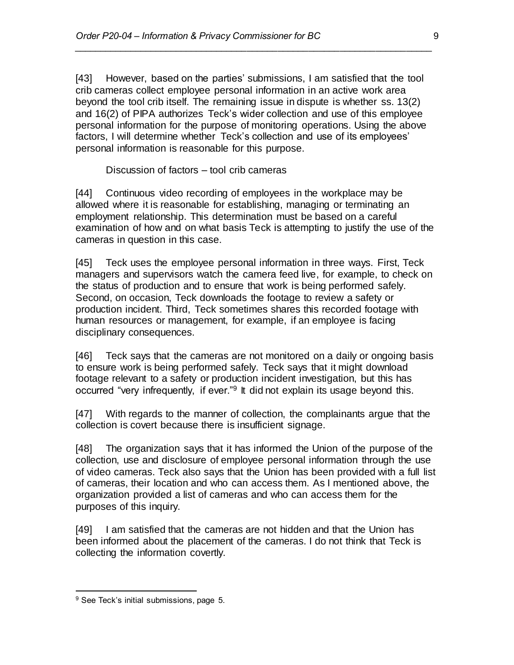[43] However, based on the parties' submissions, I am satisfied that the tool crib cameras collect employee personal information in an active work area beyond the tool crib itself. The remaining issue in dispute is whether ss. 13(2) and 16(2) of PIPA authorizes Teck's wider collection and use of this employee personal information for the purpose of monitoring operations. Using the above factors, I will determine whether Teck's collection and use of its employees' personal information is reasonable for this purpose.

*\_\_\_\_\_\_\_\_\_\_\_\_\_\_\_\_\_\_\_\_\_\_\_\_\_\_\_\_\_\_\_\_\_\_\_\_\_\_\_\_\_\_\_\_\_\_\_\_\_\_\_\_\_\_\_\_\_\_\_\_\_\_\_\_\_\_\_\_\_\_*

Discussion of factors – tool crib cameras

[44] Continuous video recording of employees in the workplace may be allowed where it is reasonable for establishing, managing or terminating an employment relationship. This determination must be based on a careful examination of how and on what basis Teck is attempting to justify the use of the cameras in question in this case.

[45] Teck uses the employee personal information in three ways. First, Teck managers and supervisors watch the camera feed live, for example, to check on the status of production and to ensure that work is being performed safely. Second, on occasion, Teck downloads the footage to review a safety or production incident. Third, Teck sometimes shares this recorded footage with human resources or management, for example, if an employee is facing disciplinary consequences.

[46] Teck says that the cameras are not monitored on a daily or ongoing basis to ensure work is being performed safely. Teck says that it might download footage relevant to a safety or production incident investigation, but this has occurred "very infrequently, if ever."<sup>9</sup> It did not explain its usage beyond this.

[47] With regards to the manner of collection, the complainants argue that the collection is covert because there is insufficient signage.

[48] The organization says that it has informed the Union of the purpose of the collection, use and disclosure of employee personal information through the use of video cameras. Teck also says that the Union has been provided with a full list of cameras, their location and who can access them. As I mentioned above, the organization provided a list of cameras and who can access them for the purposes of this inquiry.

[49] I am satisfied that the cameras are not hidden and that the Union has been informed about the placement of the cameras. I do not think that Teck is collecting the information covertly.

<sup>&</sup>lt;sup>9</sup> See Teck's initial submissions, page 5.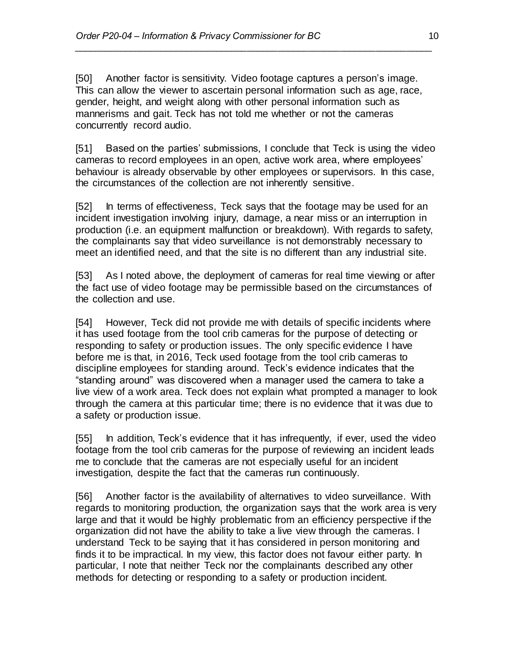[50] Another factor is sensitivity. Video footage captures a person's image. This can allow the viewer to ascertain personal information such as age, race, gender, height, and weight along with other personal information such as mannerisms and gait. Teck has not told me whether or not the cameras concurrently record audio.

*\_\_\_\_\_\_\_\_\_\_\_\_\_\_\_\_\_\_\_\_\_\_\_\_\_\_\_\_\_\_\_\_\_\_\_\_\_\_\_\_\_\_\_\_\_\_\_\_\_\_\_\_\_\_\_\_\_\_\_\_\_\_\_\_\_\_\_\_\_\_*

[51] Based on the parties' submissions, I conclude that Teck is using the video cameras to record employees in an open, active work area, where employees' behaviour is already observable by other employees or supervisors. In this case, the circumstances of the collection are not inherently sensitive.

[52] In terms of effectiveness, Teck says that the footage may be used for an incident investigation involving injury, damage, a near miss or an interruption in production (i.e. an equipment malfunction or breakdown). With regards to safety, the complainants say that video surveillance is not demonstrably necessary to meet an identified need, and that the site is no different than any industrial site.

[53] As I noted above, the deployment of cameras for real time viewing or after the fact use of video footage may be permissible based on the circumstances of the collection and use.

[54] However, Teck did not provide me with details of specific incidents where it has used footage from the tool crib cameras for the purpose of detecting or responding to safety or production issues. The only specific evidence I have before me is that, in 2016, Teck used footage from the tool crib cameras to discipline employees for standing around. Teck's evidence indicates that the "standing around" was discovered when a manager used the camera to take a live view of a work area. Teck does not explain what prompted a manager to look through the camera at this particular time; there is no evidence that it was due to a safety or production issue.

[55] In addition, Teck's evidence that it has infrequently, if ever, used the video footage from the tool crib cameras for the purpose of reviewing an incident leads me to conclude that the cameras are not especially useful for an incident investigation, despite the fact that the cameras run continuously.

[56] Another factor is the availability of alternatives to video surveillance. With regards to monitoring production, the organization says that the work area is very large and that it would be highly problematic from an efficiency perspective if the organization did not have the ability to take a live view through the cameras. I understand Teck to be saying that it has considered in person monitoring and finds it to be impractical. In my view, this factor does not favour either party. In particular, I note that neither Teck nor the complainants described any other methods for detecting or responding to a safety or production incident.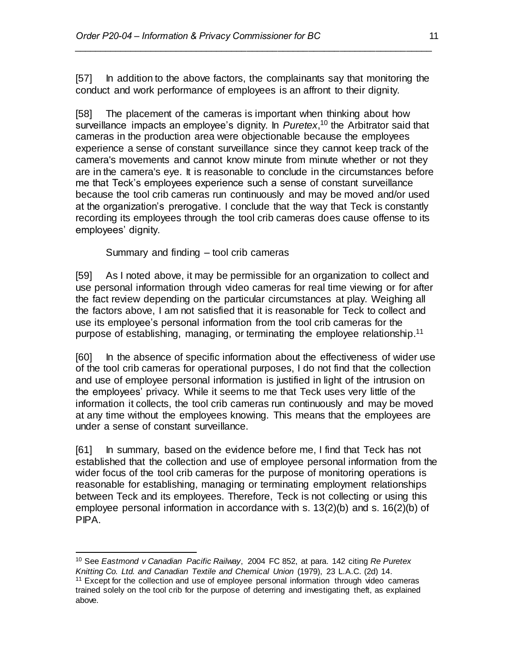[57] In addition to the above factors, the complainants say that monitoring the conduct and work performance of employees is an affront to their dignity.

*\_\_\_\_\_\_\_\_\_\_\_\_\_\_\_\_\_\_\_\_\_\_\_\_\_\_\_\_\_\_\_\_\_\_\_\_\_\_\_\_\_\_\_\_\_\_\_\_\_\_\_\_\_\_\_\_\_\_\_\_\_\_\_\_\_\_\_\_\_\_*

[58] The placement of the cameras is important when thinking about how surveillance impacts an employee's dignity. In *Puretex*, <sup>10</sup> the Arbitrator said that cameras in the production area were objectionable because the employees experience a sense of constant surveillance since they cannot keep track of the camera's movements and cannot know minute from minute whether or not they are in the camera's eye. It is reasonable to conclude in the circumstances before me that Teck's employees experience such a sense of constant surveillance because the tool crib cameras run continuously and may be moved and/or used at the organization's prerogative. I conclude that the way that Teck is constantly recording its employees through the tool crib cameras does cause offense to its employees' dignity.

Summary and finding – tool crib cameras

[59] As I noted above, it may be permissible for an organization to collect and use personal information through video cameras for real time viewing or for after the fact review depending on the particular circumstances at play. Weighing all the factors above, I am not satisfied that it is reasonable for Teck to collect and use its employee's personal information from the tool crib cameras for the purpose of establishing, managing, or terminating the employee relationship.<sup>11</sup>

[60] In the absence of specific information about the effectiveness of wider use of the tool crib cameras for operational purposes, I do not find that the collection and use of employee personal information is justified in light of the intrusion on the employees' privacy. While it seems to me that Teck uses very little of the information it collects, the tool crib cameras run continuously and may be moved at any time without the employees knowing. This means that the employees are under a sense of constant surveillance.

[61] In summary, based on the evidence before me, I find that Teck has not established that the collection and use of employee personal information from the wider focus of the tool crib cameras for the purpose of monitoring operations is reasonable for establishing, managing or terminating employment relationships between Teck and its employees. Therefore, Teck is not collecting or using this employee personal information in accordance with s. 13(2)(b) and s. 16(2)(b) of PIPA.

 <sup>10</sup> See *Eastmond v Canadian Pacific Railway*, 2004 FC 852, at para. 142 citing *Re Puretex Knitting Co. Ltd. and Canadian Textile and Chemical Union* (1979), 23 L.A.C. (2d) 14.

<sup>11</sup> Except for the collection and use of employee personal information through video cameras trained solely on the tool crib for the purpose of deterring and investigating theft, as explained above.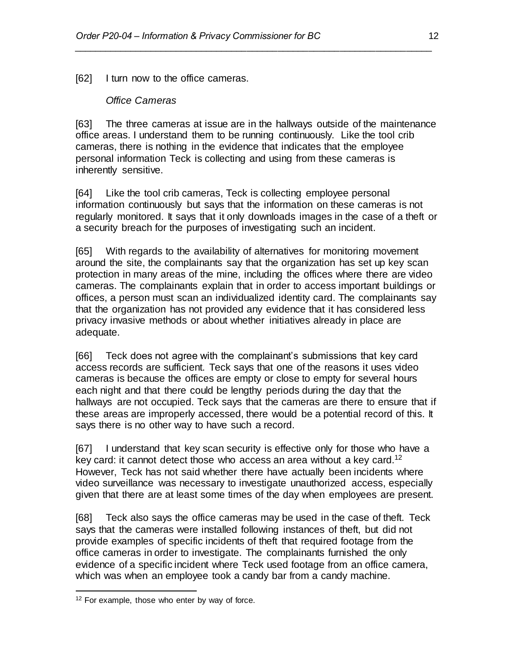[62] I turn now to the office cameras.

### *Office Cameras*

[63] The three cameras at issue are in the hallways outside of the maintenance office areas. I understand them to be running continuously. Like the tool crib cameras, there is nothing in the evidence that indicates that the employee personal information Teck is collecting and using from these cameras is inherently sensitive.

*\_\_\_\_\_\_\_\_\_\_\_\_\_\_\_\_\_\_\_\_\_\_\_\_\_\_\_\_\_\_\_\_\_\_\_\_\_\_\_\_\_\_\_\_\_\_\_\_\_\_\_\_\_\_\_\_\_\_\_\_\_\_\_\_\_\_\_\_\_\_*

[64] Like the tool crib cameras, Teck is collecting employee personal information continuously but says that the information on these cameras is not regularly monitored. It says that it only downloads images in the case of a theft or a security breach for the purposes of investigating such an incident.

[65] With regards to the availability of alternatives for monitoring movement around the site, the complainants say that the organization has set up key scan protection in many areas of the mine, including the offices where there are video cameras. The complainants explain that in order to access important buildings or offices, a person must scan an individualized identity card. The complainants say that the organization has not provided any evidence that it has considered less privacy invasive methods or about whether initiatives already in place are adequate.

[66] Teck does not agree with the complainant's submissions that key card access records are sufficient. Teck says that one of the reasons it uses video cameras is because the offices are empty or close to empty for several hours each night and that there could be lengthy periods during the day that the hallways are not occupied. Teck says that the cameras are there to ensure that if these areas are improperly accessed, there would be a potential record of this. It says there is no other way to have such a record.

[67] I understand that key scan security is effective only for those who have a key card: it cannot detect those who access an area without a key card.<sup>12</sup> However, Teck has not said whether there have actually been incidents where video surveillance was necessary to investigate unauthorized access, especially given that there are at least some times of the day when employees are present.

[68] Teck also says the office cameras may be used in the case of theft. Teck says that the cameras were installed following instances of theft, but did not provide examples of specific incidents of theft that required footage from the office cameras in order to investigate. The complainants furnished the only evidence of a specific incident where Teck used footage from an office camera, which was when an employee took a candy bar from a candy machine.

<sup>&</sup>lt;sup>12</sup> For example, those who enter by way of force.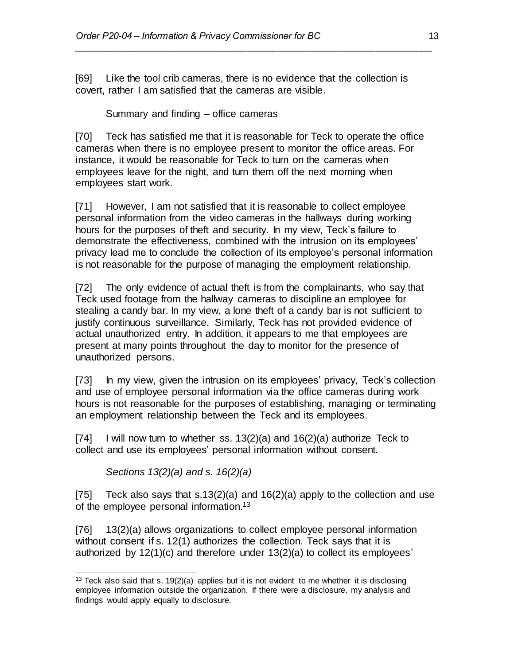[69] Like the tool crib cameras, there is no evidence that the collection is covert, rather I am satisfied that the cameras are visible.

*\_\_\_\_\_\_\_\_\_\_\_\_\_\_\_\_\_\_\_\_\_\_\_\_\_\_\_\_\_\_\_\_\_\_\_\_\_\_\_\_\_\_\_\_\_\_\_\_\_\_\_\_\_\_\_\_\_\_\_\_\_\_\_\_\_\_\_\_\_\_*

Summary and finding – office cameras

[70] Teck has satisfied me that it is reasonable for Teck to operate the office cameras when there is no employee present to monitor the office areas. For instance, it would be reasonable for Teck to turn on the cameras when employees leave for the night, and turn them off the next morning when employees start work.

[71] However, I am not satisfied that it is reasonable to collect employee personal information from the video cameras in the hallways during working hours for the purposes of theft and security. In my view, Teck's failure to demonstrate the effectiveness, combined with the intrusion on its employees' privacy lead me to conclude the collection of its employee's personal information is not reasonable for the purpose of managing the employment relationship.

[72] The only evidence of actual theft is from the complainants, who say that Teck used footage from the hallway cameras to discipline an employee for stealing a candy bar. In my view, a lone theft of a candy bar is not sufficient to justify continuous surveillance. Similarly, Teck has not provided evidence of actual unauthorized entry. In addition, it appears to me that employees are present at many points throughout the day to monitor for the presence of unauthorized persons.

[73] In my view, given the intrusion on its employees' privacy, Teck's collection and use of employee personal information via the office cameras during work hours is not reasonable for the purposes of establishing, managing or terminating an employment relationship between the Teck and its employees.

[74] I will now turn to whether ss.  $13(2)(a)$  and  $16(2)(a)$  authorize Teck to collect and use its employees' personal information without consent.

*Sections 13(2)(a) and s. 16(2)(a)*

[75] Teck also says that s.13(2)(a) and 16(2)(a) apply to the collection and use of the employee personal information.<sup>13</sup>

[76] 13(2)(a) allows organizations to collect employee personal information without consent if s. 12(1) authorizes the collection. Teck says that it is authorized by 12(1)(c) and therefore under 13(2)(a) to collect its employees'

 <sup>13</sup> Teck also said that s. 19(2)(a) applies but it is not evident to me whether it is disclosing employee information outside the organization. If there were a disclosure, my analysis and findings would apply equally to disclosure.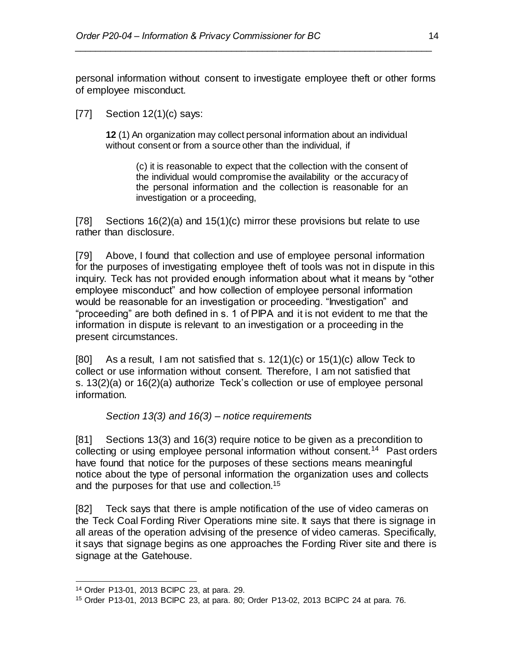personal information without consent to investigate employee theft or other forms of employee misconduct.

*\_\_\_\_\_\_\_\_\_\_\_\_\_\_\_\_\_\_\_\_\_\_\_\_\_\_\_\_\_\_\_\_\_\_\_\_\_\_\_\_\_\_\_\_\_\_\_\_\_\_\_\_\_\_\_\_\_\_\_\_\_\_\_\_\_\_\_\_\_\_*

[77] Section 12(1)(c) says:

**12** (1) An organization may collect personal information about an individual without consent or from a source other than the individual, if

(c) it is reasonable to expect that the collection with the consent of the individual would compromise the availability or the accuracy of the personal information and the collection is reasonable for an investigation or a proceeding,

[78] Sections 16(2)(a) and 15(1)(c) mirror these provisions but relate to use rather than disclosure.

[79] Above, I found that collection and use of employee personal information for the purposes of investigating employee theft of tools was not in dispute in this inquiry. Teck has not provided enough information about what it means by "other employee misconduct" and how collection of employee personal information would be reasonable for an investigation or proceeding. "Investigation" and "proceeding" are both defined in s. 1 of PIPA and it is not evident to me that the information in dispute is relevant to an investigation or a proceeding in the present circumstances.

[80] As a result, I am not satisfied that s.  $12(1)(c)$  or  $15(1)(c)$  allow Teck to collect or use information without consent. Therefore, I am not satisfied that s. 13(2)(a) or 16(2)(a) authorize Teck's collection or use of employee personal information.

*Section 13(3) and 16(3) – notice requirements*

[81] Sections 13(3) and 16(3) require notice to be given as a precondition to collecting or using employee personal information without consent.<sup>14</sup> Past orders have found that notice for the purposes of these sections means meaningful notice about the type of personal information the organization uses and collects and the purposes for that use and collection. 15

[82] Teck says that there is ample notification of the use of video cameras on the Teck Coal Fording River Operations mine site. It says that there is signage in all areas of the operation advising of the presence of video cameras. Specifically, it says that signage begins as one approaches the Fording River site and there is signage at the Gatehouse.

<sup>14</sup> Order P13-01, 2013 BCIPC 23, at para. 29.

<sup>15</sup> Order P13-01, 2013 BCIPC 23, at para. 80; Order P13-02, 2013 BCIPC 24 at para. 76.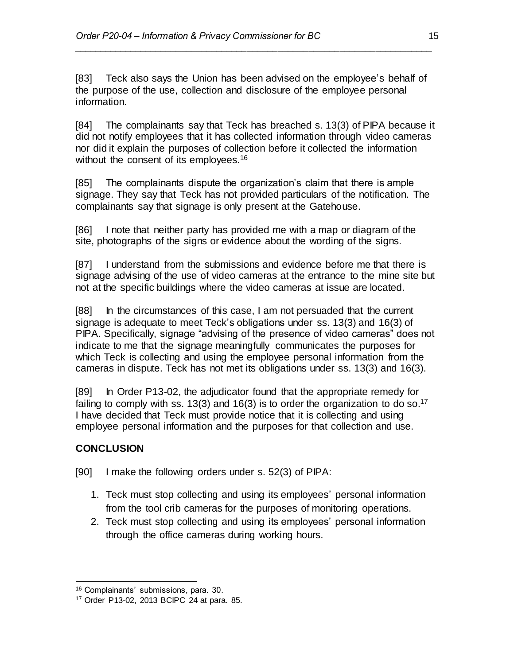[83] Teck also says the Union has been advised on the employee's behalf of the purpose of the use, collection and disclosure of the employee personal information.

*\_\_\_\_\_\_\_\_\_\_\_\_\_\_\_\_\_\_\_\_\_\_\_\_\_\_\_\_\_\_\_\_\_\_\_\_\_\_\_\_\_\_\_\_\_\_\_\_\_\_\_\_\_\_\_\_\_\_\_\_\_\_\_\_\_\_\_\_\_\_*

[84] The complainants say that Teck has breached s. 13(3) of PIPA because it did not notify employees that it has collected information through video cameras nor did it explain the purposes of collection before it collected the information without the consent of its employees.<sup>16</sup>

[85] The complainants dispute the organization's claim that there is ample signage. They say that Teck has not provided particulars of the notification. The complainants say that signage is only present at the Gatehouse.

[86] I note that neither party has provided me with a map or diagram of the site, photographs of the signs or evidence about the wording of the signs.

[87] I understand from the submissions and evidence before me that there is signage advising of the use of video cameras at the entrance to the mine site but not at the specific buildings where the video cameras at issue are located.

[88] In the circumstances of this case, I am not persuaded that the current signage is adequate to meet Teck's obligations under ss. 13(3) and 16(3) of PIPA. Specifically, signage "advising of the presence of video cameras" does not indicate to me that the signage meaningfully communicates the purposes for which Teck is collecting and using the employee personal information from the cameras in dispute. Teck has not met its obligations under ss. 13(3) and 16(3).

[89] In Order P13-02, the adjudicator found that the appropriate remedy for failing to comply with ss. 13(3) and 16(3) is to order the organization to do so.<sup>17</sup> I have decided that Teck must provide notice that it is collecting and using employee personal information and the purposes for that collection and use.

## **CONCLUSION**

[90] I make the following orders under s. 52(3) of PIPA:

- 1. Teck must stop collecting and using its employees' personal information from the tool crib cameras for the purposes of monitoring operations.
- 2. Teck must stop collecting and using its employees' personal information through the office cameras during working hours.

 <sup>16</sup> Complainants' submissions, para. 30.

<sup>17</sup> Order P13-02, 2013 BCIPC 24 at para. 85.